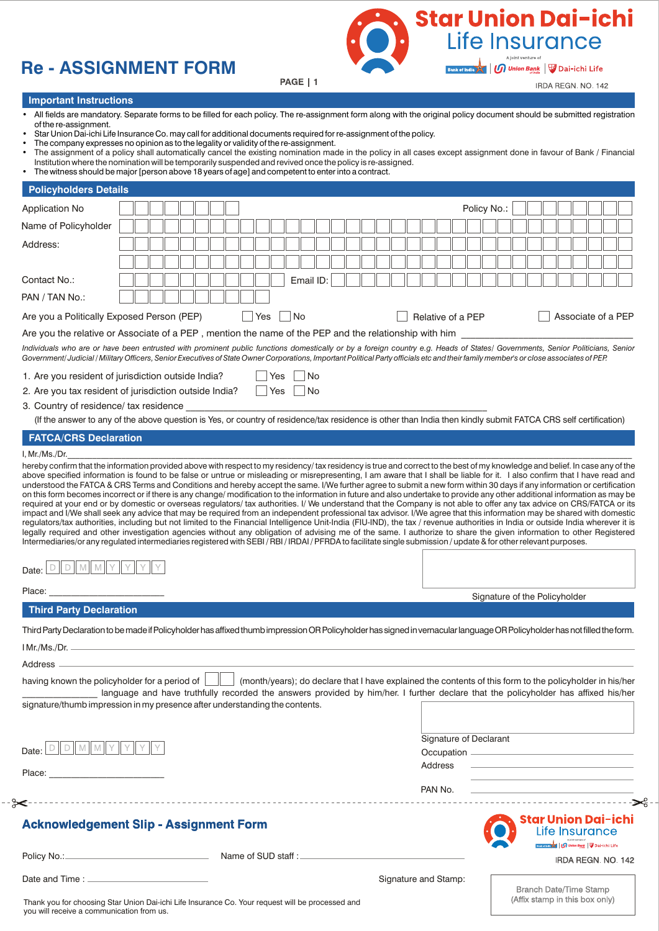# **Re - ASSIGNMENT FORM**



**Important Instructions**

- All fields are mandatory. Separate forms to be filled for each policy. The re-assignment form along with the original policy document should be submitted registration of the re-assignment.
- Star Union Dai-ichi Life Insurance Co. may call for additional documents required for re-assignment of the policy.
- The company expresses no opinion as to the legality or validity of the re-assignment.
- The assignment of a policy shall automatically cancel the existing nomination made in the policy in all cases except assignment done in favour of Bank / Financial Institution where the nomination will be temporarily suspended and revived once the policy is re-assigned.
- The witness should be major [person above 18 years of age] and competent to enter into a contract.

| Name of Policyholder                                                                                                                                                                                                                                                                                                                                                                                                                                                                                                                                                                                                                                                                                                                                                             |                                                                                                                                    |  |  |  |     |     |    |           |  |  |  |                      |                   |         | Policy No.: |                        |  |                               |  |                                                                                                                      |  |
|----------------------------------------------------------------------------------------------------------------------------------------------------------------------------------------------------------------------------------------------------------------------------------------------------------------------------------------------------------------------------------------------------------------------------------------------------------------------------------------------------------------------------------------------------------------------------------------------------------------------------------------------------------------------------------------------------------------------------------------------------------------------------------|------------------------------------------------------------------------------------------------------------------------------------|--|--|--|-----|-----|----|-----------|--|--|--|----------------------|-------------------|---------|-------------|------------------------|--|-------------------------------|--|----------------------------------------------------------------------------------------------------------------------|--|
|                                                                                                                                                                                                                                                                                                                                                                                                                                                                                                                                                                                                                                                                                                                                                                                  |                                                                                                                                    |  |  |  |     |     |    |           |  |  |  |                      |                   |         |             |                        |  |                               |  |                                                                                                                      |  |
| Address:                                                                                                                                                                                                                                                                                                                                                                                                                                                                                                                                                                                                                                                                                                                                                                         |                                                                                                                                    |  |  |  |     |     |    |           |  |  |  |                      |                   |         |             |                        |  |                               |  |                                                                                                                      |  |
|                                                                                                                                                                                                                                                                                                                                                                                                                                                                                                                                                                                                                                                                                                                                                                                  |                                                                                                                                    |  |  |  |     |     |    |           |  |  |  |                      |                   |         |             |                        |  |                               |  |                                                                                                                      |  |
|                                                                                                                                                                                                                                                                                                                                                                                                                                                                                                                                                                                                                                                                                                                                                                                  |                                                                                                                                    |  |  |  |     |     |    |           |  |  |  |                      |                   |         |             |                        |  |                               |  |                                                                                                                      |  |
| Contact No.:                                                                                                                                                                                                                                                                                                                                                                                                                                                                                                                                                                                                                                                                                                                                                                     |                                                                                                                                    |  |  |  |     |     |    | Email ID: |  |  |  |                      |                   |         |             |                        |  |                               |  |                                                                                                                      |  |
| PAN / TAN No.:                                                                                                                                                                                                                                                                                                                                                                                                                                                                                                                                                                                                                                                                                                                                                                   |                                                                                                                                    |  |  |  |     |     |    |           |  |  |  |                      |                   |         |             |                        |  |                               |  |                                                                                                                      |  |
| Are you a Politically Exposed Person (PEP)                                                                                                                                                                                                                                                                                                                                                                                                                                                                                                                                                                                                                                                                                                                                       |                                                                                                                                    |  |  |  | Yes |     | No |           |  |  |  |                      | Relative of a PEP |         |             |                        |  |                               |  | Associate of a PEP                                                                                                   |  |
| Are you the relative or Associate of a PEP, mention the name of the PEP and the relationship with him                                                                                                                                                                                                                                                                                                                                                                                                                                                                                                                                                                                                                                                                            |                                                                                                                                    |  |  |  |     |     |    |           |  |  |  |                      |                   |         |             |                        |  |                               |  |                                                                                                                      |  |
| Individuals who are or have been entrusted with prominent public functions domestically or by a foreign country e.g. Heads of States/ Governments, Senior Politicians, Senior<br>Government/Judicial / Military Officers, Senior Executives of State Owner Corporations, Important Political Party officials etc and their family member's or close associates of PEP.                                                                                                                                                                                                                                                                                                                                                                                                           |                                                                                                                                    |  |  |  |     |     |    |           |  |  |  |                      |                   |         |             |                        |  |                               |  |                                                                                                                      |  |
| 1. Are you resident of jurisdiction outside India?                                                                                                                                                                                                                                                                                                                                                                                                                                                                                                                                                                                                                                                                                                                               |                                                                                                                                    |  |  |  |     | Yes |    | <b>No</b> |  |  |  |                      |                   |         |             |                        |  |                               |  |                                                                                                                      |  |
| 2. Are you tax resident of jurisdiction outside India? Ps PS DNo                                                                                                                                                                                                                                                                                                                                                                                                                                                                                                                                                                                                                                                                                                                 |                                                                                                                                    |  |  |  |     |     |    |           |  |  |  |                      |                   |         |             |                        |  |                               |  |                                                                                                                      |  |
| 3. Country of residence/ tax residence                                                                                                                                                                                                                                                                                                                                                                                                                                                                                                                                                                                                                                                                                                                                           |                                                                                                                                    |  |  |  |     |     |    |           |  |  |  |                      |                   |         |             |                        |  |                               |  |                                                                                                                      |  |
| (If the answer to any of the above question is Yes, or country of residence/tax residence is other than India then kindly submit FATCA CRS self certification)                                                                                                                                                                                                                                                                                                                                                                                                                                                                                                                                                                                                                   |                                                                                                                                    |  |  |  |     |     |    |           |  |  |  |                      |                   |         |             |                        |  |                               |  |                                                                                                                      |  |
| <b>FATCA/CRS Declaration</b>                                                                                                                                                                                                                                                                                                                                                                                                                                                                                                                                                                                                                                                                                                                                                     |                                                                                                                                    |  |  |  |     |     |    |           |  |  |  |                      |                   |         |             |                        |  |                               |  |                                                                                                                      |  |
| I, Mr./Ms./Dr.<br>hereby confirm that the information provided above with respect to my residency/tax residency is true and correct to the best of my knowledge and belief. In case any of the                                                                                                                                                                                                                                                                                                                                                                                                                                                                                                                                                                                   |                                                                                                                                    |  |  |  |     |     |    |           |  |  |  |                      |                   |         |             |                        |  |                               |  |                                                                                                                      |  |
| legally required and other investigation agencies without any obligation of advising me of the same. I authorize to share the given information to other Registered<br>Intermediaries/or any regulated intermediaries registered with SEBI/RBI/IRDAI/PFRDA to facilitate single submission/update & for other relevant purposes.<br>$D    D    M    M    Y    Y    Y$<br>Date:                                                                                                                                                                                                                                                                                                                                                                                                   |                                                                                                                                    |  |  |  |     |     |    |           |  |  |  |                      |                   |         |             |                        |  |                               |  |                                                                                                                      |  |
| Place: Note: No. 1996. The Contract of the Contract of the Contract of the Contract of the Contract of the Contract of the Contract of the Contract of the Contract of the Contract of the Contract of the Contract of the Con                                                                                                                                                                                                                                                                                                                                                                                                                                                                                                                                                   |                                                                                                                                    |  |  |  |     |     |    |           |  |  |  |                      |                   |         |             |                        |  |                               |  |                                                                                                                      |  |
| <b>Third Party Declaration</b>                                                                                                                                                                                                                                                                                                                                                                                                                                                                                                                                                                                                                                                                                                                                                   |                                                                                                                                    |  |  |  |     |     |    |           |  |  |  |                      |                   |         |             |                        |  | Signature of the Policyholder |  |                                                                                                                      |  |
|                                                                                                                                                                                                                                                                                                                                                                                                                                                                                                                                                                                                                                                                                                                                                                                  |                                                                                                                                    |  |  |  |     |     |    |           |  |  |  |                      |                   |         |             |                        |  |                               |  |                                                                                                                      |  |
|                                                                                                                                                                                                                                                                                                                                                                                                                                                                                                                                                                                                                                                                                                                                                                                  |                                                                                                                                    |  |  |  |     |     |    |           |  |  |  |                      |                   |         |             |                        |  |                               |  |                                                                                                                      |  |
|                                                                                                                                                                                                                                                                                                                                                                                                                                                                                                                                                                                                                                                                                                                                                                                  |                                                                                                                                    |  |  |  |     |     |    |           |  |  |  |                      |                   |         |             |                        |  |                               |  |                                                                                                                      |  |
|                                                                                                                                                                                                                                                                                                                                                                                                                                                                                                                                                                                                                                                                                                                                                                                  |                                                                                                                                    |  |  |  |     |     |    |           |  |  |  |                      |                   |         |             |                        |  |                               |  |                                                                                                                      |  |
|                                                                                                                                                                                                                                                                                                                                                                                                                                                                                                                                                                                                                                                                                                                                                                                  |                                                                                                                                    |  |  |  |     |     |    |           |  |  |  |                      |                   |         |             |                        |  |                               |  |                                                                                                                      |  |
|                                                                                                                                                                                                                                                                                                                                                                                                                                                                                                                                                                                                                                                                                                                                                                                  |                                                                                                                                    |  |  |  |     |     |    |           |  |  |  |                      |                   |         |             |                        |  |                               |  |                                                                                                                      |  |
|                                                                                                                                                                                                                                                                                                                                                                                                                                                                                                                                                                                                                                                                                                                                                                                  | language and have truthfully recorded the answers provided by him/her. I further declare that the policyholder has affixed his/her |  |  |  |     |     |    |           |  |  |  |                      |                   |         |             |                        |  |                               |  |                                                                                                                      |  |
|                                                                                                                                                                                                                                                                                                                                                                                                                                                                                                                                                                                                                                                                                                                                                                                  |                                                                                                                                    |  |  |  |     |     |    |           |  |  |  |                      |                   |         |             |                        |  |                               |  |                                                                                                                      |  |
|                                                                                                                                                                                                                                                                                                                                                                                                                                                                                                                                                                                                                                                                                                                                                                                  |                                                                                                                                    |  |  |  |     |     |    |           |  |  |  |                      |                   |         |             | Signature of Declarant |  |                               |  |                                                                                                                      |  |
|                                                                                                                                                                                                                                                                                                                                                                                                                                                                                                                                                                                                                                                                                                                                                                                  |                                                                                                                                    |  |  |  |     |     |    |           |  |  |  |                      |                   |         |             |                        |  |                               |  |                                                                                                                      |  |
|                                                                                                                                                                                                                                                                                                                                                                                                                                                                                                                                                                                                                                                                                                                                                                                  |                                                                                                                                    |  |  |  |     |     |    |           |  |  |  |                      |                   | Address |             |                        |  |                               |  | <u> Alexandria de la contrada de la contrada de la contrada de la contrada de la contrada de la contrada de la c</u> |  |
|                                                                                                                                                                                                                                                                                                                                                                                                                                                                                                                                                                                                                                                                                                                                                                                  |                                                                                                                                    |  |  |  |     |     |    |           |  |  |  |                      |                   | PAN No. |             |                        |  |                               |  | <u> 1989 - Johann Barbara, martxa alemaniar politik (</u><br><u> 1989 - Johann Barbara, martin a</u>                 |  |
|                                                                                                                                                                                                                                                                                                                                                                                                                                                                                                                                                                                                                                                                                                                                                                                  |                                                                                                                                    |  |  |  |     |     |    |           |  |  |  |                      |                   |         |             |                        |  |                               |  |                                                                                                                      |  |
|                                                                                                                                                                                                                                                                                                                                                                                                                                                                                                                                                                                                                                                                                                                                                                                  |                                                                                                                                    |  |  |  |     |     |    |           |  |  |  |                      |                   |         |             |                        |  |                               |  | <b>Star Union Dai-ichi</b><br>Life Insurance                                                                         |  |
|                                                                                                                                                                                                                                                                                                                                                                                                                                                                                                                                                                                                                                                                                                                                                                                  |                                                                                                                                    |  |  |  |     |     |    |           |  |  |  |                      |                   |         |             |                        |  |                               |  | Aptriumine of<br>Tai-ichi Life                                                                                       |  |
| Third Party Declaration to be made if Policyholder has affixed thumb impression OR Policyholder has signed in vernacular language OR Policyholder has not filled the form.<br>IMr/Ms/Dr.<br>Address -<br>having known the policyholder for a period of       (month/years); do declare that I have explained the contents of this form to the policyholder in his/her<br>signature/thumb impression in my presence after understanding the contents.<br>Place: the contract of the contract of the contract of the contract of the contract of the contract of the contract of the contract of the contract of the contract of the contract of the contract of the contract of the con<br>"≫<br><b>Acknowledgement Slip - Assignment Form</b><br>Policy No.: Name of SUD staff : |                                                                                                                                    |  |  |  |     |     |    |           |  |  |  | Signature and Stamp: |                   |         |             |                        |  |                               |  | IRDA REGN. NO. 142                                                                                                   |  |

Thank you for choosing Star Union Dai-ichi Life Insurance Co. Your request will be processed and you will receive a communication from us.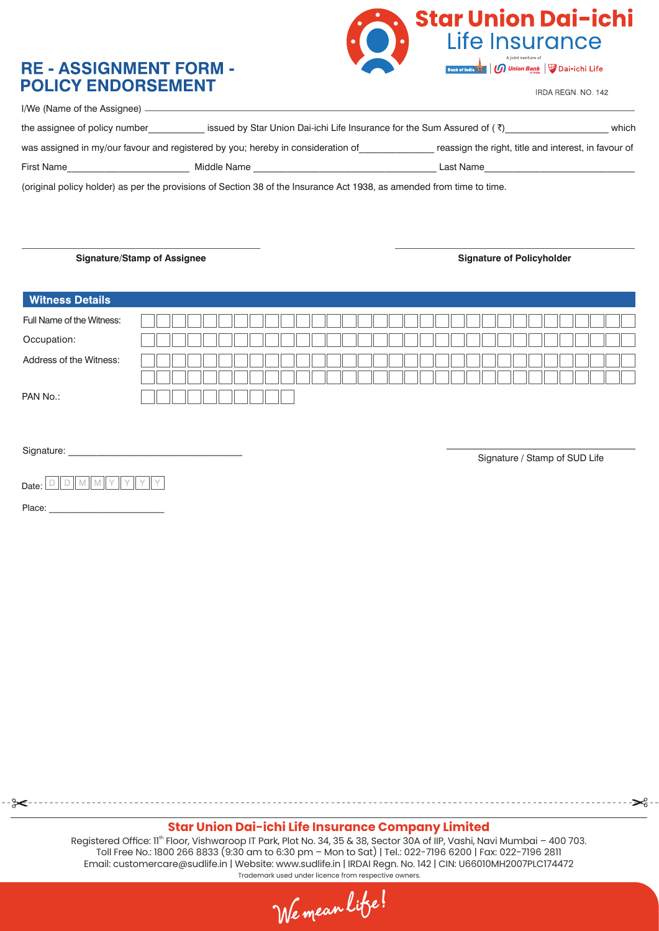### **RE - ASSIGNMENT FORM -POLICY ENDORSEMENT**



IRDA REGN. NO. 142

- ڇح-

| I/We (Name of the Assignee).  |                                                                                    |                                                      |       |
|-------------------------------|------------------------------------------------------------------------------------|------------------------------------------------------|-------|
| the assignee of policy number | issued by Star Union Dai-ichi Life Insurance for the Sum Assured of $(\bar{\tau})$ |                                                      | which |
|                               | was assigned in my/our favour and registered by you; hereby in consideration of    | reassign the right, title and interest, in favour of |       |
| First Name                    | Middle Name                                                                        | Last Name                                            |       |
|                               |                                                                                    |                                                      |       |

(original policy holder) as per the provisions of Section 38 of the Insurance Act 1938, as amended from time to time.

Signature/Stamp of Assignee **Signature of Policyholder** Signature of Policyholder

| <b>Witness Details</b>    |                               |
|---------------------------|-------------------------------|
| Full Name of the Witness: |                               |
| Occupation:               |                               |
| Address of the Witness:   |                               |
| PAN No.:                  |                               |
| Signature:                | Signature / Stamp of SUD Life |
| Date:                     |                               |
| Place:                    |                               |
|                           |                               |

#### **Star Union Dai-ichi Life Insurance Company Limited**

Registered Office: 11<sup>th</sup> Floor, Vishwaroop IT Park, Plot No. 34, 35 & 38, Sector 30A of IIP, Vashi, Navi Mumbai - 400 703. Toll Free No.: 1800 266 8833 (9:30 am to 6:30 pm – Mon to Sat) | Tel.: 022-7196 6200 | Fax: 022-7196 2811 Email: customercare@sudlife.in | Website: www.sudlife.in | IRDAI Regn. No. 142 | CIN: U66010MH2007PLC174472 Trademark used under licence from respective owners.

We mean litse!